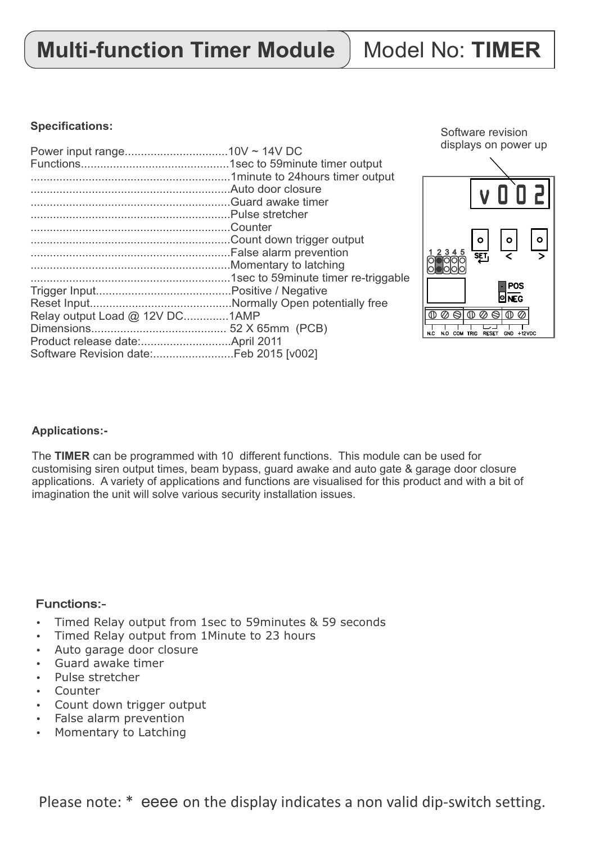Please note: \* eeee on the display indicates a non valid dip-switch setting.

## **Multi-function Timer Module | Model No: TIMER**

#### **Specifications:**

| Relay output Load @ 12V DC1AMP |  |
|--------------------------------|--|
|                                |  |
|                                |  |
|                                |  |
|                                |  |

Software revision displays on power up



#### **Applications:-**

The **TIMER** can be programmed with 10 different functions. This module can be used for customising siren output times, beam bypass, guard awake and auto gate & garage door closure applications. A variety of applications and functions are visualised for this product and with a bit of imagination the unit will solve various security installation issues.

#### Functions:-

- Timed Relay output from 1sec to 59minutes & 59 seconds
- Timed Relay output from 1Minute to 23 hours
- Auto garage door closure
- Guard awake timer
- Pulse stretcher
- Counter
- Count down trigger output
- False alarm prevention
- Momentary to Latching

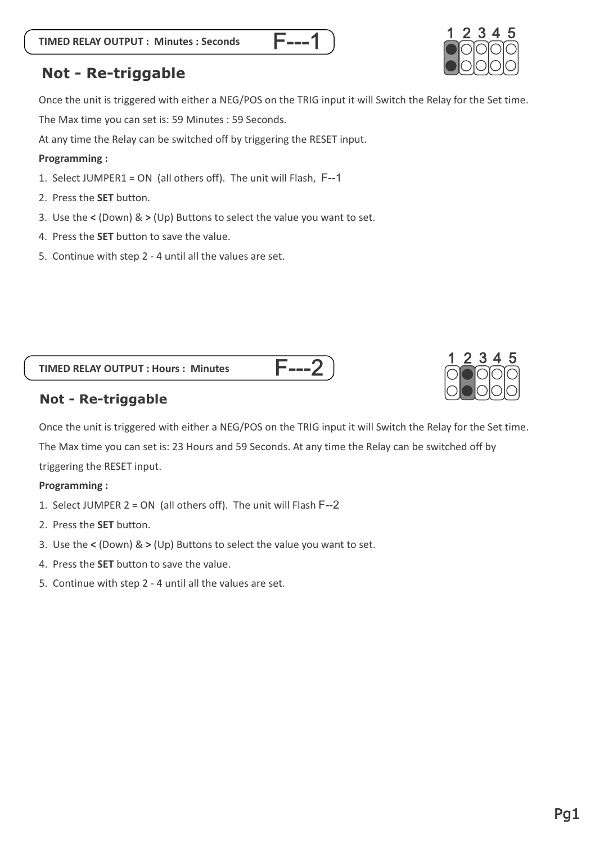

## **Not - Re-triggable**

Once the unit is triggered with either a NEG/POS on the TRIG input it will Switch the Relay for the Set time. The Max time you can set is: 59 Minutes : 59 Seconds.

<u>F---1</u>

At any time the Relay can be switched off by triggering the RESET input.

#### **Programming :**

- 1. Select JUMPER1 = ON (all others off). The unit will Flash, F--1
- 2. Press the **SET** button.
- 3. Use the **<** (Down) & **>** (Up) Buttons to select the value you want to set.
- 4. Press the **SET** button to save the value.
- 5. Continue with step 2 4 until all the values are set.





#### **Not - Re-triggable**

Once the unit is triggered with either a NEG/POS on the TRIG input it will Switch the Relay for the Set time. The Max time you can set is: 23 Hours and 59 Seconds. At any time the Relay can be switched off by triggering the RESET input.

<u>F---2</u>

#### **Programming :**

- 1. Select JUMPER 2 = ON (all others off). The unit will Flash F--2
- 2. Press the **SET** button.
- 3. Use the **<** (Down) & **>** (Up) Buttons to select the value you want to set.
- 4. Press the **SET** button to save the value.
- 5. Continue with step 2 4 until all the values are set.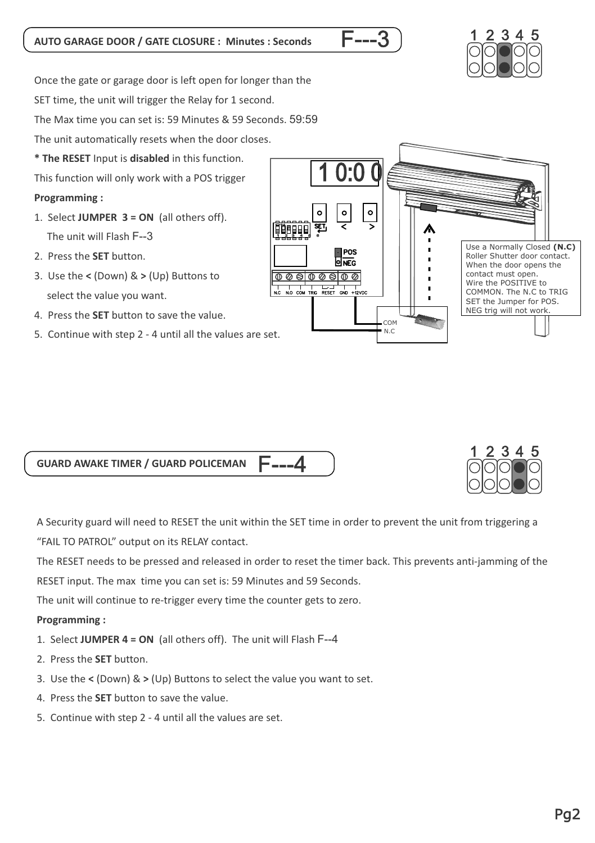## **AUTO GARAGE DOOR / GATE CLOSURE : Minutes : Seconds**

Once the gate or garage door is left open for longer than the

SET time, the unit will trigger the Relay for 1 second.

The Max time you can set is: 59 Minutes & 59 Seconds. 59:59

The unit automatically resets when the door closes.

**\* The RESET** Input is **disabled** in this function.

This function will only work with a POS trigger

### **Programming :**

- 1. Select **JUMPER 3 = ON** (all others off). The unit will Flash F--3
- 2. Press the **SET** button.
- 3. Use the **<** (Down) & **>** (Up) Buttons to select the value you want.
- 4. Press the **SET** button to save the value.
- 5. Continue with step 2 4 until all the values are set.







A Security guard will need to RESET the unit within the SET time in order to prevent the unit from triggering a "FAIL TO PATROL" output on its RELAY contact.

The RESET needs to be pressed and released in order to reset the timer back. This prevents anti-jamming of the

RESET input. The max time you can set is: 59 Minutes and 59 Seconds.

The unit will continue to re-trigger every time the counter gets to zero.

## **Programming :**

- 1. Select **JUMPER 4 = ON** (all others off). The unit will Flash F--4
- 2. Press the **SET** button.
- 3. Use the **<** (Down) & **>** (Up) Buttons to select the value you want to set.
- 4. Press the **SET** button to save the value.
- 5. Continue with step 2 4 until all the values are set.

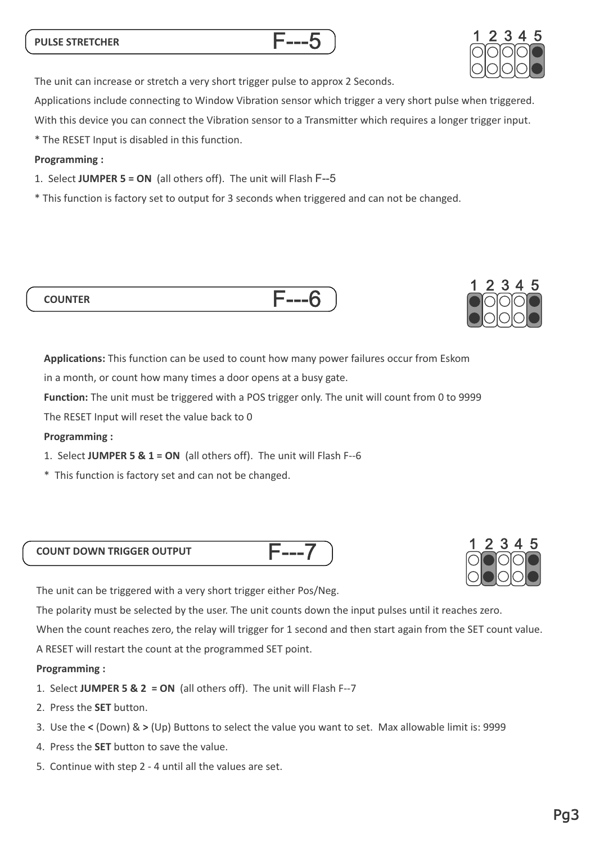#### **PULSE STRETCHER**

The unit can increase or stretch a very short trigger pulse to approx 2 Seconds.

Applications include connecting to Window Vibration sensor which trigger a very short pulse when triggered.

With this device you can connect the Vibration sensor to a Transmitter which requires a longer trigger input.

\* The RESET Input is disabled in this function.

#### **Programming :**

**COUNTER**

- 1. Select **JUMPER 5 = ON** (all others off). The unit will Flash F--5
- \* This function is factory set to output for 3 seconds when triggered and can not be changed.

**Applications:** This function can be used to count how many power failures occur from Eskom

in a month, or count how many times a door opens at a busy gate.

**Function:** The unit must be triggered with a POS trigger only. The unit will count from 0 to 9999

The RESET Input will reset the value back to 0

#### **Programming :**

- 1. Select **JUMPER 5 & 1 = ON** (all others off). The unit will Flash F--6
- \* This function is factory set and can not be changed.

#### **COUNT DOWN TRIGGER OUTPUT**

The unit can be triggered with a very short trigger either Pos/Neg.

The polarity must be selected by the user. The unit counts down the input pulses until it reaches zero.

When the count reaches zero, the relay will trigger for 1 second and then start again from the SET count value.

F---7

A RESET will restart the count at the programmed SET point.

#### **Programming :**

- 1. Select **JUMPER 5 & 2 = ON** (all others off). The unit will Flash F--7
- 2. Press the **SET** button.
- 3. Use the **<** (Down) & **>** (Up) Buttons to select the value you want to set. Max allowable limit is: 9999
- 4. Press the **SET** button to save the value.
- 5. Continue with step 2 4 until all the values are set.









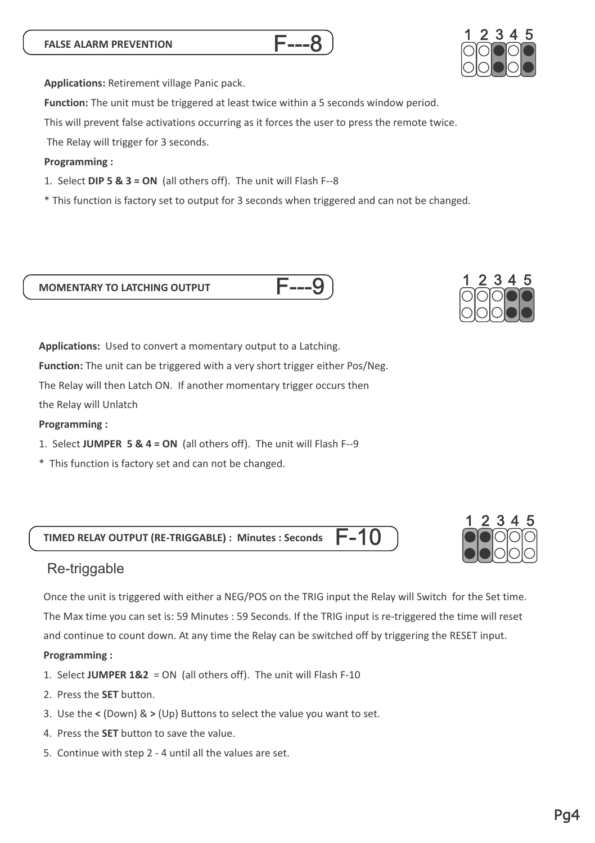Pg4

**Applications:** Retirement village Panic pack.

**Function:**  The unit must be triggered at least twice within a 5 seconds window period.

This will prevent false activations occurring as it forces the user to press the remote twice.

The Relay will trigger for 3 seconds.

#### **Programming :**

- 1. Select **DIP 5 & 3 = ON** (all others off). The unit will Flash F--8
- \* This function is factory set to output for 3 seconds when triggered and can not be changed.

#### **MOMENTARY TO LATCHING OUTPUT**

**Applications:** Used to convert a momentary output to a Latching.

**Function:** The unit can be triggered with a very short trigger either Pos/Neg.

The Relay will then Latch ON. If another momentary trigger occurs then

the Relay will Unlatch

#### **Programming :**

- 1. Select **JUMPER 5 & 4 = ON** (all others off). The unit will Flash F--9
- \* This function is factory set and can not be changed.

**TIMED RELAY OUTPUT (RE-TRIGGABLE) : Minutes : Seconds** F-10

## Re-triggable

Once the unit is triggered with either a NEG/POS on the TRIG input the Relay will Switch for the Set time. The Max time you can set is: 59 Minutes : 59 Seconds. If the TRIG input is re-triggered the time will reset and continue to count down. At any time the Relay can be switched off by triggering the RESET input.

#### **Programming :**

- 1. Select **JUMPER 1&2** = ON (all others off). The unit will Flash F-10
- 2. Press the **SET** button.
- 3. Use the **<** (Down) & **>** (Up) Buttons to select the value you want to set.
- 4. Press the **SET** button to save the value.
- 5. Continue with step 2 4 until all the values are set.

# <u>1 2 3 4 5</u>







F---9